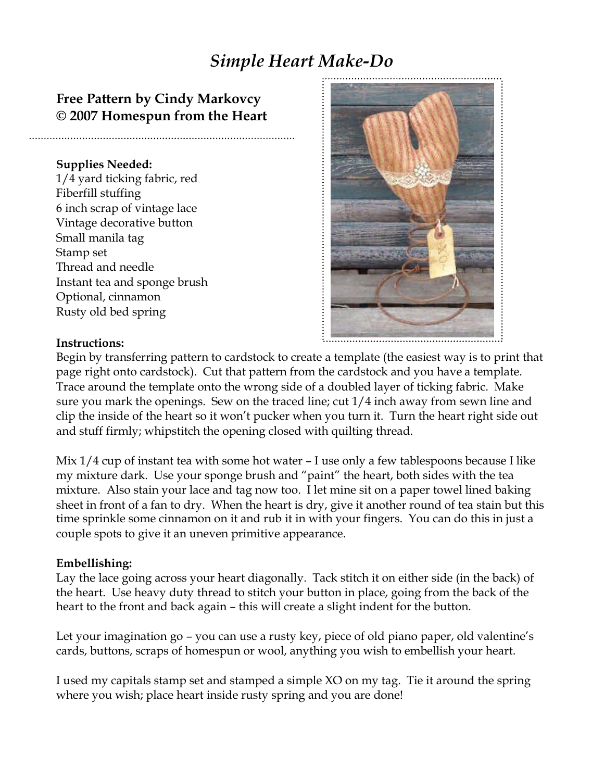# *Simple Heart Make-Do*

# **Free Pattern by Cindy Markovcy © 2007 Homespun from the Heart**

## **Supplies Needed:**

1/4 yard ticking fabric, red Fiberfill stuffing 6 inch scrap of vintage lace Vintage decorative button Small manila tag Stamp set Thread and needle Instant tea and sponge brush Optional, cinnamon Rusty old bed spring



#### **Instructions:**

Begin by transferring pattern to cardstock to create a template (the easiest way is to print that page right onto cardstock). Cut that pattern from the cardstock and you have a template. Trace around the template onto the wrong side of a doubled layer of ticking fabric. Make sure you mark the openings. Sew on the traced line; cut 1/4 inch away from sewn line and clip the inside of the heart so it won't pucker when you turn it. Turn the heart right side out

Mix 1/4 cup of instant tea with some hot water – I use only a few tablespoons because I like my mixture dark. Use your sponge brush and "paint" the heart, both sides with the tea mixture. Also stain your lace and tag now too. I let mine sit on a paper towel lined baking sheet in front of a fan to dry. When the heart is dry, give it another round of tea stain but this time sprinkle some cinnamon on it and rub it in with your fingers. You can do this in just a couple spots to give it an uneven primitive appearance.

and stuff firmly; whipstitch the opening closed with quilting thread.

### **Embellishing:**

Lay the lace going across your heart diagonally. Tack stitch it on either side (in the back) of the heart. Use heavy duty thread to stitch your button in place, going from the back of the heart to the front and back again – this will create a slight indent for the button.

Let your imagination go – you can use a rusty key, piece of old piano paper, old valentine's cards, buttons, scraps of homespun or wool, anything you wish to embellish your heart.

I used my capitals stamp set and stamped a simple XO on my tag. Tie it around the spring where you wish; place heart inside rusty spring and you are done!